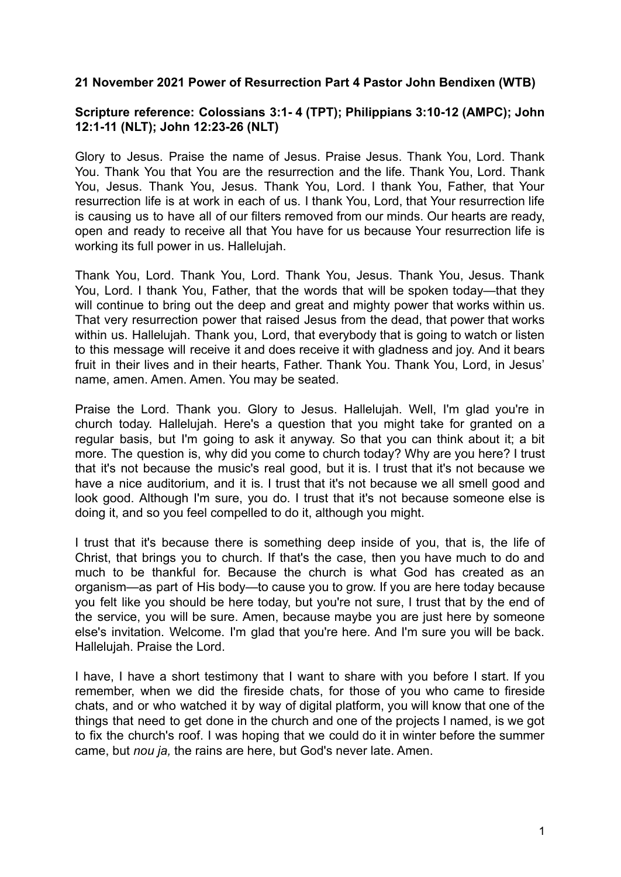## **21 November 2021 Power of Resurrection Part 4 Pastor John Bendixen (WTB)**

## **Scripture reference: Colossians 3:1- 4 (TPT); Philippians 3:10-12 (AMPC); John 12:1-11 (NLT); John 12:23-26 (NLT)**

Glory to Jesus. Praise the name of Jesus. Praise Jesus. Thank You, Lord. Thank You. Thank You that You are the resurrection and the life. Thank You, Lord. Thank You, Jesus. Thank You, Jesus. Thank You, Lord. I thank You, Father, that Your resurrection life is at work in each of us. I thank You, Lord, that Your resurrection life is causing us to have all of our filters removed from our minds. Our hearts are ready, open and ready to receive all that You have for us because Your resurrection life is working its full power in us. Hallelujah.

Thank You, Lord. Thank You, Lord. Thank You, Jesus. Thank You, Jesus. Thank You, Lord. I thank You, Father, that the words that will be spoken today—that they will continue to bring out the deep and great and mighty power that works within us. That very resurrection power that raised Jesus from the dead, that power that works within us. Hallelujah. Thank you, Lord, that everybody that is going to watch or listen to this message will receive it and does receive it with gladness and joy. And it bears fruit in their lives and in their hearts, Father. Thank You. Thank You, Lord, in Jesus' name, amen. Amen. Amen. You may be seated.

Praise the Lord. Thank you. Glory to Jesus. Hallelujah. Well, I'm glad you're in church today. Hallelujah. Here's a question that you might take for granted on a regular basis, but I'm going to ask it anyway. So that you can think about it; a bit more. The question is, why did you come to church today? Why are you here? I trust that it's not because the music's real good, but it is. I trust that it's not because we have a nice auditorium, and it is. I trust that it's not because we all smell good and look good. Although I'm sure, you do. I trust that it's not because someone else is doing it, and so you feel compelled to do it, although you might.

I trust that it's because there is something deep inside of you, that is, the life of Christ, that brings you to church. If that's the case, then you have much to do and much to be thankful for. Because the church is what God has created as an organism—as part of His body—to cause you to grow. If you are here today because you felt like you should be here today, but you're not sure, I trust that by the end of the service, you will be sure. Amen, because maybe you are just here by someone else's invitation. Welcome. I'm glad that you're here. And I'm sure you will be back. Hallelujah. Praise the Lord.

I have, I have a short testimony that I want to share with you before I start. If you remember, when we did the fireside chats, for those of you who came to fireside chats, and or who watched it by way of digital platform, you will know that one of the things that need to get done in the church and one of the projects I named, is we got to fix the church's roof. I was hoping that we could do it in winter before the summer came, but *nou ja,* the rains are here, but God's never late. Amen.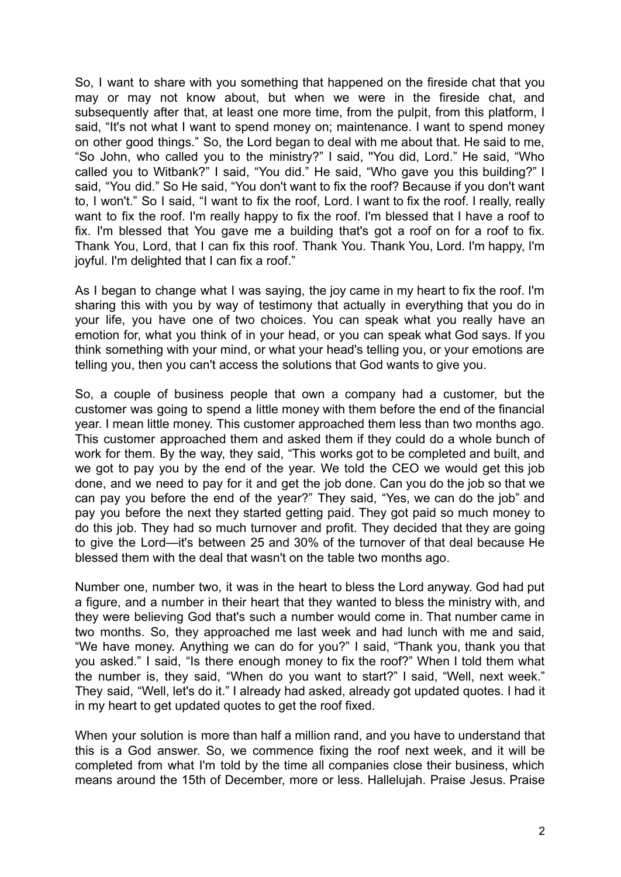So, I want to share with you something that happened on the fireside chat that you may or may not know about, but when we were in the fireside chat, and subsequently after that, at least one more time, from the pulpit, from this platform, I said, "It's not what I want to spend money on; maintenance. I want to spend money on other good things." So, the Lord began to deal with me about that. He said to me, "So John, who called you to the ministry?" I said, ''You did, Lord." He said, "Who called you to Witbank?" I said, "You did." He said, "Who gave you this building?" I said, "You did." So He said, "You don't want to fix the roof? Because if you don't want to, I won't." So I said, "I want to fix the roof, Lord. I want to fix the roof. I really, really want to fix the roof. I'm really happy to fix the roof. I'm blessed that I have a roof to fix. I'm blessed that You gave me a building that's got a roof on for a roof to fix. Thank You, Lord, that I can fix this roof. Thank You. Thank You, Lord. I'm happy, I'm joyful. I'm delighted that I can fix a roof."

As I began to change what I was saying, the joy came in my heart to fix the roof. I'm sharing this with you by way of testimony that actually in everything that you do in your life, you have one of two choices. You can speak what you really have an emotion for, what you think of in your head, or you can speak what God says. If you think something with your mind, or what your head's telling you, or your emotions are telling you, then you can't access the solutions that God wants to give you.

So, a couple of business people that own a company had a customer, but the customer was going to spend a little money with them before the end of the financial year. I mean little money. This customer approached them less than two months ago. This customer approached them and asked them if they could do a whole bunch of work for them. By the way, they said, "This works got to be completed and built, and we got to pay you by the end of the year. We told the CEO we would get this job done, and we need to pay for it and get the job done. Can you do the job so that we can pay you before the end of the year?" They said, "Yes, we can do the job" and pay you before the next they started getting paid. They got paid so much money to do this job. They had so much turnover and profit. They decided that they are going to give the Lord—it's between 25 and 30% of the turnover of that deal because He blessed them with the deal that wasn't on the table two months ago.

Number one, number two, it was in the heart to bless the Lord anyway. God had put a figure, and a number in their heart that they wanted to bless the ministry with, and they were believing God that's such a number would come in. That number came in two months. So, they approached me last week and had lunch with me and said, "We have money. Anything we can do for you?" I said, "Thank you, thank you that you asked." I said, "Is there enough money to fix the roof?" When I told them what the number is, they said, "When do you want to start?" I said, "Well, next week." They said, "Well, let's do it." I already had asked, already got updated quotes. I had it in my heart to get updated quotes to get the roof fixed.

When your solution is more than half a million rand, and you have to understand that this is a God answer. So, we commence fixing the roof next week, and it will be completed from what I'm told by the time all companies close their business, which means around the 15th of December, more or less. Hallelujah. Praise Jesus. Praise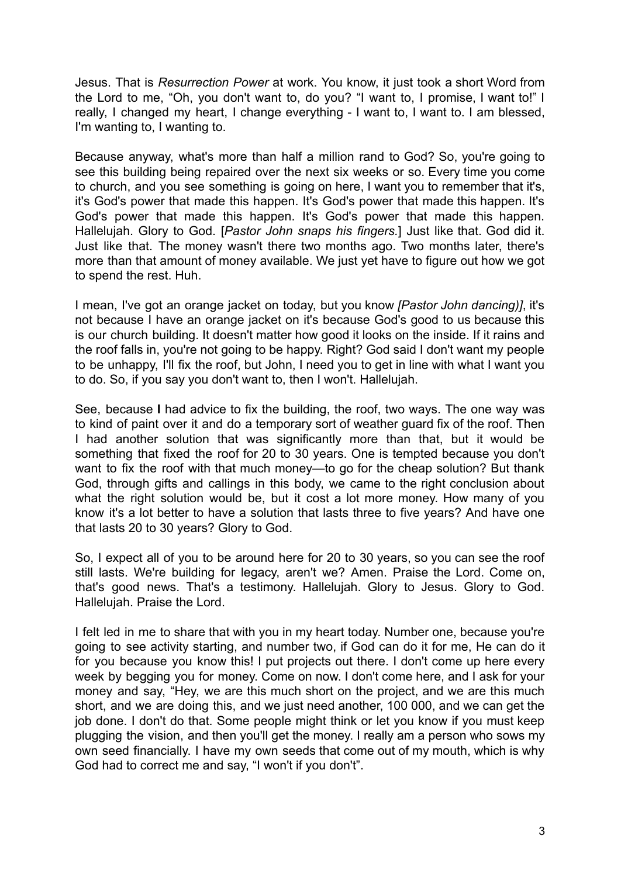Jesus. That is *Resurrection Power* at work. You know, it just took a short Word from the Lord to me, "Oh, you don't want to, do you? "I want to, I promise, I want to!" I really, I changed my heart, I change everything - I want to, I want to. I am blessed, I'm wanting to, I wanting to.

Because anyway, what's more than half a million rand to God? So, you're going to see this building being repaired over the next six weeks or so. Every time you come to church, and you see something is going on here, I want you to remember that it's, it's God's power that made this happen. It's God's power that made this happen. It's God's power that made this happen. It's God's power that made this happen. Hallelujah. Glory to God. [*Pastor John snaps his fingers.*] Just like that. God did it. Just like that. The money wasn't there two months ago. Two months later, there's more than that amount of money available. We just yet have to figure out how we got to spend the rest. Huh.

I mean, I've got an orange jacket on today, but you know *[Pastor John dancing)]*, it's not because I have an orange jacket on it's because God's good to us because this is our church building. It doesn't matter how good it looks on the inside. If it rains and the roof falls in, you're not going to be happy. Right? God said I don't want my people to be unhappy, I'll fix the roof, but John, I need you to get in line with what I want you to do. So, if you say you don't want to, then I won't. Hallelujah.

See, because **I** had advice to fix the building, the roof, two ways. The one way was to kind of paint over it and do a temporary sort of weather guard fix of the roof. Then I had another solution that was significantly more than that, but it would be something that fixed the roof for 20 to 30 years. One is tempted because you don't want to fix the roof with that much money—to go for the cheap solution? But thank God, through gifts and callings in this body, we came to the right conclusion about what the right solution would be, but it cost a lot more money. How many of you know it's a lot better to have a solution that lasts three to five years? And have one that lasts 20 to 30 years? Glory to God.

So, I expect all of you to be around here for 20 to 30 years, so you can see the roof still lasts. We're building for legacy, aren't we? Amen. Praise the Lord. Come on, that's good news. That's a testimony. Hallelujah. Glory to Jesus. Glory to God. Hallelujah. Praise the Lord.

I felt led in me to share that with you in my heart today. Number one, because you're going to see activity starting, and number two, if God can do it for me, He can do it for you because you know this! I put projects out there. I don't come up here every week by begging you for money. Come on now. I don't come here, and I ask for your money and say, "Hey, we are this much short on the project, and we are this much short, and we are doing this, and we just need another, 100 000, and we can get the job done. I don't do that. Some people might think or let you know if you must keep plugging the vision, and then you'll get the money. I really am a person who sows my own seed financially. I have my own seeds that come out of my mouth, which is why God had to correct me and say, "I won't if you don't".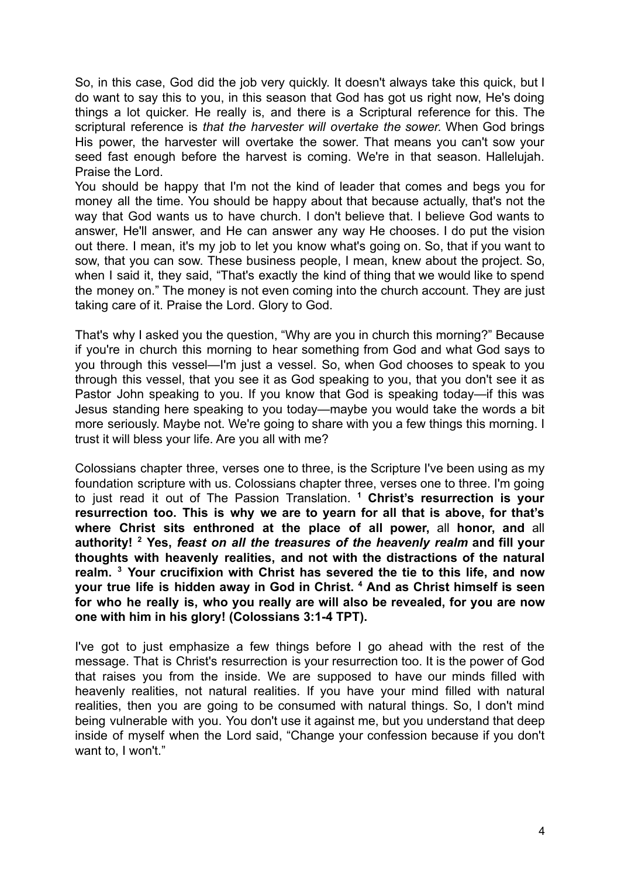So, in this case, God did the job very quickly. It doesn't always take this quick, but I do want to say this to you, in this season that God has got us right now, He's doing things a lot quicker. He really is, and there is a Scriptural reference for this. The scriptural reference is *that the harvester will overtake the sower.* When God brings His power, the harvester will overtake the sower. That means you can't sow your seed fast enough before the harvest is coming. We're in that season. Hallelujah. Praise the Lord.

You should be happy that I'm not the kind of leader that comes and begs you for money all the time. You should be happy about that because actually, that's not the way that God wants us to have church. I don't believe that. I believe God wants to answer, He'll answer, and He can answer any way He chooses. I do put the vision out there. I mean, it's my job to let you know what's going on. So, that if you want to sow, that you can sow. These business people, I mean, knew about the project. So, when I said it, they said, "That's exactly the kind of thing that we would like to spend the money on." The money is not even coming into the church account. They are just taking care of it. Praise the Lord. Glory to God.

That's why I asked you the question, "Why are you in church this morning?" Because if you're in church this morning to hear something from God and what God says to you through this vessel—I'm just a vessel. So, when God chooses to speak to you through this vessel, that you see it as God speaking to you, that you don't see it as Pastor John speaking to you. If you know that God is speaking today—if this was Jesus standing here speaking to you today—maybe you would take the words a bit more seriously. Maybe not. We're going to share with you a few things this morning. I trust it will bless your life. Are you all with me?

Colossians chapter three, verses one to three, is the Scripture I've been using as my foundation scripture with us. Colossians chapter three, verses one to three. I'm going to just read it out of The Passion Translation. **<sup>1</sup> Christ's resurrection is your resurrection too. This is why we are to yearn for all that is above, for that's where Christ sits enthroned at the place of all power,** all **honor, and** all **authority! <sup>2</sup> Yes,** *feast on all the treasures of the heavenly realm* **and fill your thoughts with heavenly realities, and not with the distractions of the natural realm. <sup>3</sup> Your crucifixion with Christ has severed the tie to this life, and now your true life is hidden away in God in Christ. <sup>4</sup> And as Christ himself is seen for who he really is, who you really are will also be revealed, for you are now one with him in his glory! (Colossians 3:1-4 TPT).**

I've got to just emphasize a few things before I go ahead with the rest of the message. That is Christ's resurrection is your resurrection too. It is the power of God that raises you from the inside. We are supposed to have our minds filled with heavenly realities, not natural realities. If you have your mind filled with natural realities, then you are going to be consumed with natural things. So, I don't mind being vulnerable with you. You don't use it against me, but you understand that deep inside of myself when the Lord said, "Change your confession because if you don't want to, I won't."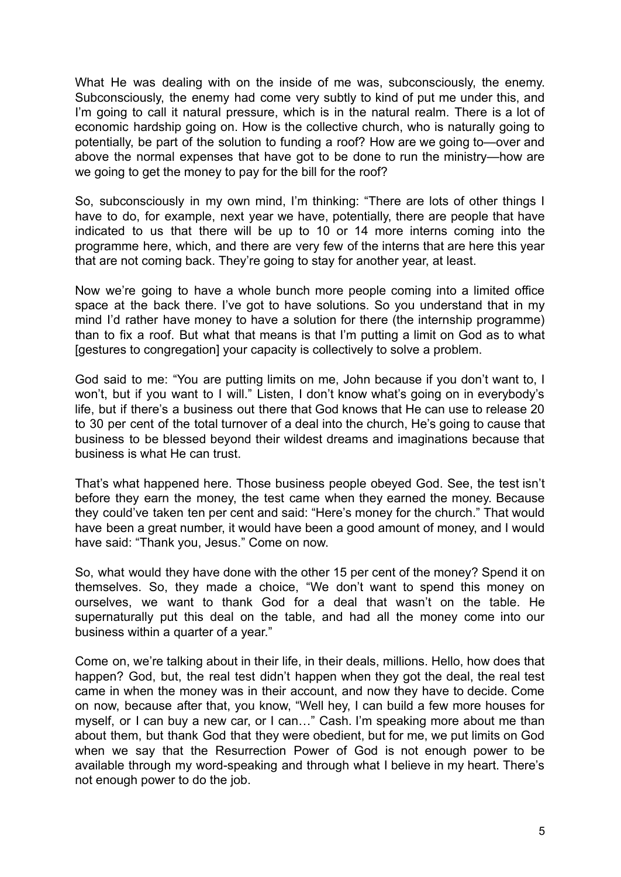What He was dealing with on the inside of me was, subconsciously, the enemy. Subconsciously, the enemy had come very subtly to kind of put me under this, and I'm going to call it natural pressure, which is in the natural realm. There is a lot of economic hardship going on. How is the collective church, who is naturally going to potentially, be part of the solution to funding a roof? How are we going to—over and above the normal expenses that have got to be done to run the ministry—how are we going to get the money to pay for the bill for the roof?

So, subconsciously in my own mind, I'm thinking: "There are lots of other things I have to do, for example, next year we have, potentially, there are people that have indicated to us that there will be up to 10 or 14 more interns coming into the programme here, which, and there are very few of the interns that are here this year that are not coming back. They're going to stay for another year, at least.

Now we're going to have a whole bunch more people coming into a limited office space at the back there. I've got to have solutions. So you understand that in my mind I'd rather have money to have a solution for there (the internship programme) than to fix a roof. But what that means is that I'm putting a limit on God as to what [gestures to congregation] your capacity is collectively to solve a problem.

God said to me: "You are putting limits on me, John because if you don't want to, I won't, but if you want to I will." Listen, I don't know what's going on in everybody's life, but if there's a business out there that God knows that He can use to release 20 to 30 per cent of the total turnover of a deal into the church, He's going to cause that business to be blessed beyond their wildest dreams and imaginations because that business is what He can trust.

That's what happened here. Those business people obeyed God. See, the test isn't before they earn the money, the test came when they earned the money. Because they could've taken ten per cent and said: "Here's money for the church." That would have been a great number, it would have been a good amount of money, and I would have said: "Thank you, Jesus." Come on now.

So, what would they have done with the other 15 per cent of the money? Spend it on themselves. So, they made a choice, "We don't want to spend this money on ourselves, we want to thank God for a deal that wasn't on the table. He supernaturally put this deal on the table, and had all the money come into our business within a quarter of a year."

Come on, we're talking about in their life, in their deals, millions. Hello, how does that happen? God, but, the real test didn't happen when they got the deal, the real test came in when the money was in their account, and now they have to decide. Come on now, because after that, you know, "Well hey, I can build a few more houses for myself, or I can buy a new car, or I can…" Cash. I'm speaking more about me than about them, but thank God that they were obedient, but for me, we put limits on God when we say that the Resurrection Power of God is not enough power to be available through my word-speaking and through what I believe in my heart. There's not enough power to do the job.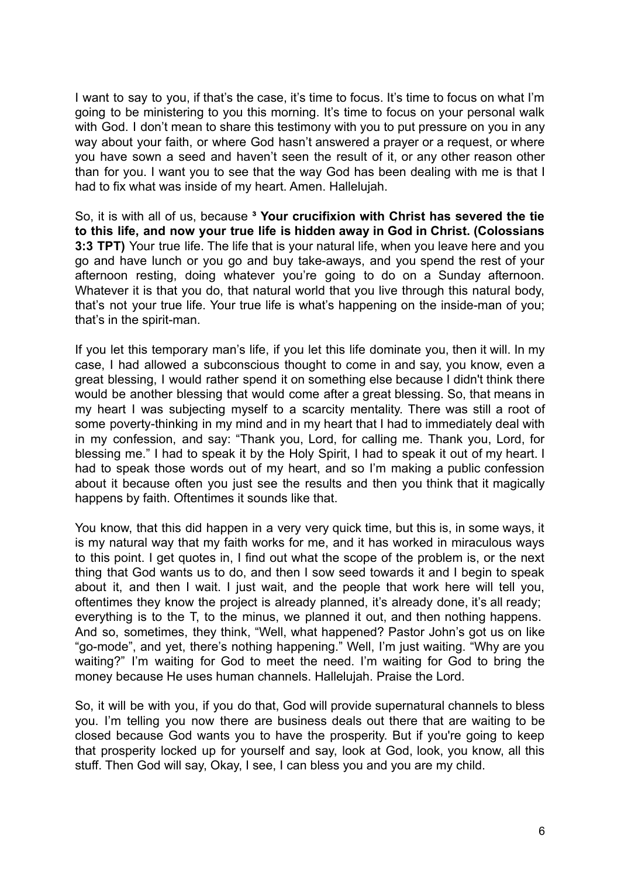I want to say to you, if that's the case, it's time to focus. It's time to focus on what I'm going to be ministering to you this morning. It's time to focus on your personal walk with God. I don't mean to share this testimony with you to put pressure on you in any way about your faith, or where God hasn't answered a prayer or a request, or where you have sown a seed and haven't seen the result of it, or any other reason other than for you. I want you to see that the way God has been dealing with me is that I had to fix what was inside of my heart. Amen. Hallelujah.

So, it is with all of us, because **³ Your crucifixion with Christ has severed the tie to this life, and now your true life is hidden away in God in Christ. (Colossians 3:3 TPT)** Your true life. The life that is your natural life, when you leave here and you go and have lunch or you go and buy take-aways, and you spend the rest of your afternoon resting, doing whatever you're going to do on a Sunday afternoon. Whatever it is that you do, that natural world that you live through this natural body, that's not your true life. Your true life is what's happening on the inside-man of you; that's in the spirit-man.

If you let this temporary man's life, if you let this life dominate you, then it will. In my case, I had allowed a subconscious thought to come in and say, you know, even a great blessing, I would rather spend it on something else because I didn't think there would be another blessing that would come after a great blessing. So, that means in my heart I was subjecting myself to a scarcity mentality. There was still a root of some poverty-thinking in my mind and in my heart that I had to immediately deal with in my confession, and say: "Thank you, Lord, for calling me. Thank you, Lord, for blessing me." I had to speak it by the Holy Spirit, I had to speak it out of my heart. I had to speak those words out of my heart, and so I'm making a public confession about it because often you just see the results and then you think that it magically happens by faith. Oftentimes it sounds like that.

You know, that this did happen in a very very quick time, but this is, in some ways, it is my natural way that my faith works for me, and it has worked in miraculous ways to this point. I get quotes in, I find out what the scope of the problem is, or the next thing that God wants us to do, and then I sow seed towards it and I begin to speak about it, and then I wait. I just wait, and the people that work here will tell you, oftentimes they know the project is already planned, it's already done, it's all ready; everything is to the T, to the minus, we planned it out, and then nothing happens. And so, sometimes, they think, "Well, what happened? Pastor John's got us on like "go-mode", and yet, there's nothing happening." Well, I'm just waiting. "Why are you waiting?" I'm waiting for God to meet the need. I'm waiting for God to bring the money because He uses human channels. Hallelujah. Praise the Lord.

So, it will be with you, if you do that, God will provide supernatural channels to bless you. I'm telling you now there are business deals out there that are waiting to be closed because God wants you to have the prosperity. But if you're going to keep that prosperity locked up for yourself and say, look at God, look, you know, all this stuff. Then God will say, Okay, I see, I can bless you and you are my child.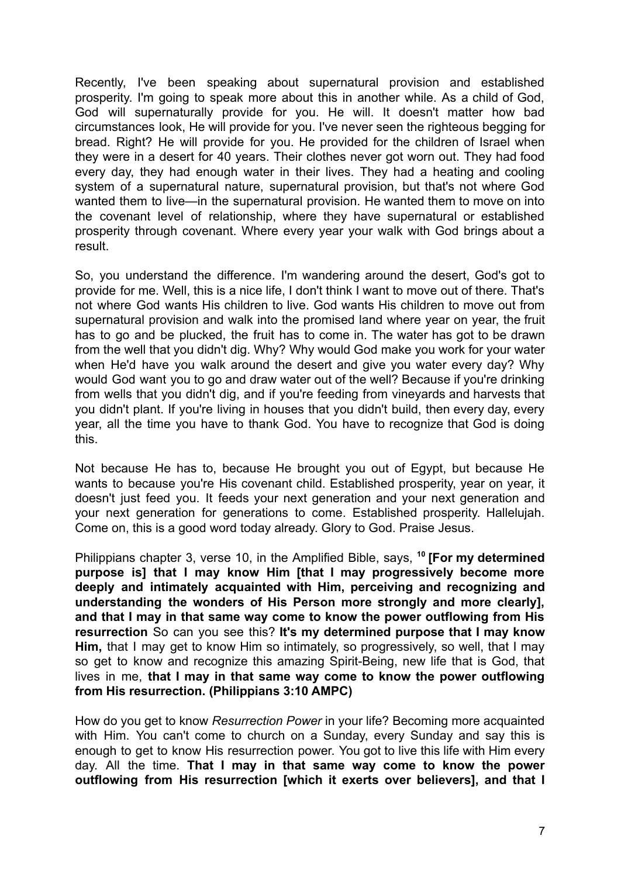Recently, I've been speaking about supernatural provision and established prosperity. I'm going to speak more about this in another while. As a child of God, God will supernaturally provide for you. He will. It doesn't matter how bad circumstances look, He will provide for you. I've never seen the righteous begging for bread. Right? He will provide for you. He provided for the children of Israel when they were in a desert for 40 years. Their clothes never got worn out. They had food every day, they had enough water in their lives. They had a heating and cooling system of a supernatural nature, supernatural provision, but that's not where God wanted them to live—in the supernatural provision. He wanted them to move on into the covenant level of relationship, where they have supernatural or established prosperity through covenant. Where every year your walk with God brings about a result.

So, you understand the difference. I'm wandering around the desert, God's got to provide for me. Well, this is a nice life, I don't think I want to move out of there. That's not where God wants His children to live. God wants His children to move out from supernatural provision and walk into the promised land where year on year, the fruit has to go and be plucked, the fruit has to come in. The water has got to be drawn from the well that you didn't dig. Why? Why would God make you work for your water when He'd have you walk around the desert and give you water every day? Why would God want you to go and draw water out of the well? Because if you're drinking from wells that you didn't dig, and if you're feeding from vineyards and harvests that you didn't plant. If you're living in houses that you didn't build, then every day, every year, all the time you have to thank God. You have to recognize that God is doing this.

Not because He has to, because He brought you out of Egypt, but because He wants to because you're His covenant child. Established prosperity, year on year, it doesn't just feed you. It feeds your next generation and your next generation and your next generation for generations to come. Established prosperity. Hallelujah. Come on, this is a good word today already. Glory to God. Praise Jesus.

Philippians chapter 3, verse 10, in the Amplified Bible, says, **<sup>10</sup> [For my determined purpose is] that I may know Him [that I may progressively become more deeply and intimately acquainted with Him, perceiving and recognizing and understanding the wonders of His Person more strongly and more clearly], and that I may in that same way come to know the power outflowing from His resurrection** So can you see this? **It's my determined purpose that I may know Him,** that I may get to know Him so intimately, so progressively, so well, that I may so get to know and recognize this amazing Spirit-Being, new life that is God, that lives in me, **that I may in that same way come to know the power outflowing from His resurrection. (Philippians 3:10 AMPC)**

How do you get to know *Resurrection Power* in your life? Becoming more acquainted with Him. You can't come to church on a Sunday, every Sunday and say this is enough to get to know His resurrection power. You got to live this life with Him every day. All the time. **That I may in that same way come to know the power outflowing from His resurrection [which it exerts over believers], and that I**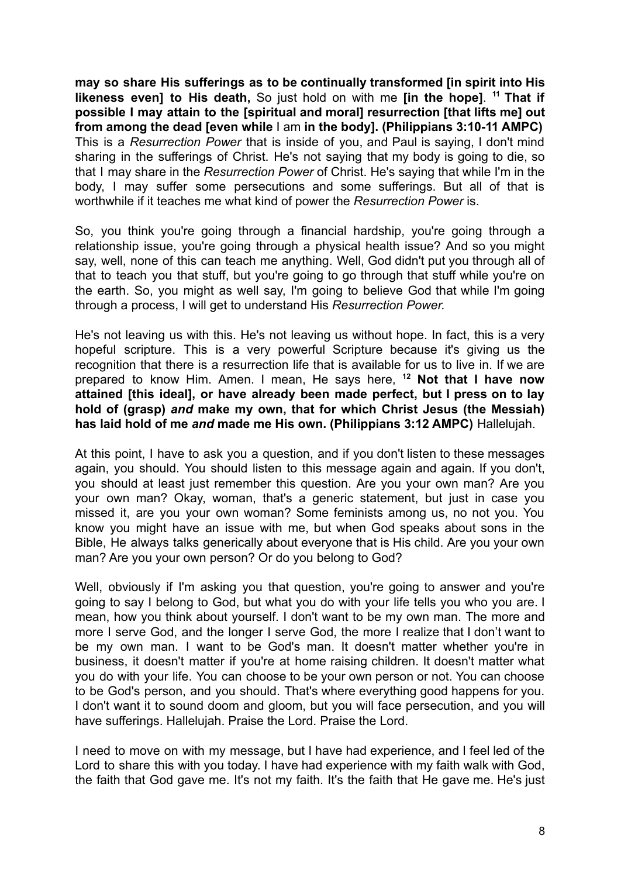**may so share His sufferings as to be continually transformed [in spirit into His likeness even] to His death,** So just hold on with me **[in the hope]**. **<sup>11</sup> That if possible I may attain to the [spiritual and moral] resurrection [that lifts me] out from among the dead [even while** I am **in the body]. (Philippians 3:10-11 AMPC)** This is a *Resurrection Power* that is inside of you, and Paul is saying, I don't mind sharing in the sufferings of Christ. He's not saying that my body is going to die, so that I may share in the *Resurrection Power* of Christ. He's saying that while I'm in the body, I may suffer some persecutions and some sufferings. But all of that is worthwhile if it teaches me what kind of power the *Resurrection Power* is.

So, you think you're going through a financial hardship, you're going through a relationship issue, you're going through a physical health issue? And so you might say, well, none of this can teach me anything. Well, God didn't put you through all of that to teach you that stuff, but you're going to go through that stuff while you're on the earth. So, you might as well say, I'm going to believe God that while I'm going through a process, I will get to understand His *Resurrection Power.*

He's not leaving us with this. He's not leaving us without hope. In fact, this is a very hopeful scripture. This is a very powerful Scripture because it's giving us the recognition that there is a resurrection life that is available for us to live in. If we are prepared to know Him. Amen. I mean, He says here, **<sup>12</sup> Not that I have now attained [this ideal], or have already been made perfect, but I press on to lay hold of (grasp)** *and* **make my own, that for which Christ Jesus (the Messiah) has laid hold of me** *and* **made me His own. (Philippians 3:12 AMPC)** Hallelujah.

At this point, I have to ask you a question, and if you don't listen to these messages again, you should. You should listen to this message again and again. If you don't, you should at least just remember this question. Are you your own man? Are you your own man? Okay, woman, that's a generic statement, but just in case you missed it, are you your own woman? Some feminists among us, no not you. You know you might have an issue with me, but when God speaks about sons in the Bible, He always talks generically about everyone that is His child. Are you your own man? Are you your own person? Or do you belong to God?

Well, obviously if I'm asking you that question, you're going to answer and you're going to say I belong to God, but what you do with your life tells you who you are. I mean, how you think about yourself. I don't want to be my own man. The more and more I serve God, and the longer I serve God, the more I realize that I don't want to be my own man. I want to be God's man. It doesn't matter whether you're in business, it doesn't matter if you're at home raising children. It doesn't matter what you do with your life. You can choose to be your own person or not. You can choose to be God's person, and you should. That's where everything good happens for you. I don't want it to sound doom and gloom, but you will face persecution, and you will have sufferings. Hallelujah. Praise the Lord. Praise the Lord.

I need to move on with my message, but I have had experience, and I feel led of the Lord to share this with you today. I have had experience with my faith walk with God, the faith that God gave me. It's not my faith. It's the faith that He gave me. He's just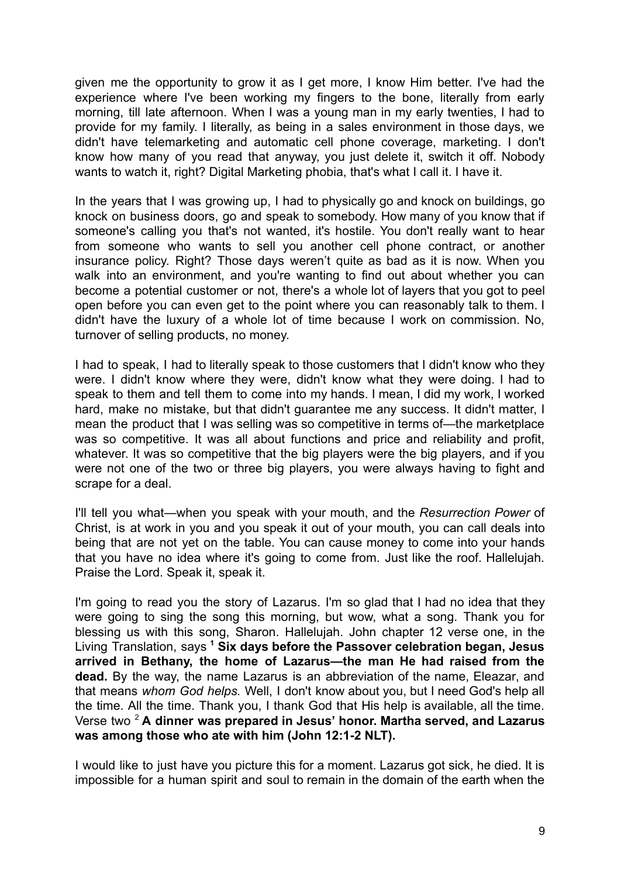given me the opportunity to grow it as I get more, I know Him better. I've had the experience where I've been working my fingers to the bone, literally from early morning, till late afternoon. When I was a young man in my early twenties, I had to provide for my family. I literally, as being in a sales environment in those days, we didn't have telemarketing and automatic cell phone coverage, marketing. I don't know how many of you read that anyway, you just delete it, switch it off. Nobody wants to watch it, right? Digital Marketing phobia, that's what I call it. I have it.

In the years that I was growing up, I had to physically go and knock on buildings, go knock on business doors, go and speak to somebody. How many of you know that if someone's calling you that's not wanted, it's hostile. You don't really want to hear from someone who wants to sell you another cell phone contract, or another insurance policy. Right? Those days weren't quite as bad as it is now. When you walk into an environment, and you're wanting to find out about whether you can become a potential customer or not, there's a whole lot of layers that you got to peel open before you can even get to the point where you can reasonably talk to them. I didn't have the luxury of a whole lot of time because I work on commission. No, turnover of selling products, no money.

I had to speak, I had to literally speak to those customers that I didn't know who they were. I didn't know where they were, didn't know what they were doing. I had to speak to them and tell them to come into my hands. I mean, I did my work, I worked hard, make no mistake, but that didn't guarantee me any success. It didn't matter, I mean the product that I was selling was so competitive in terms of—the marketplace was so competitive. It was all about functions and price and reliability and profit, whatever. It was so competitive that the big players were the big players, and if you were not one of the two or three big players, you were always having to fight and scrape for a deal.

I'll tell you what—when you speak with your mouth, and the *Resurrection Power* of Christ, is at work in you and you speak it out of your mouth, you can call deals into being that are not yet on the table. You can cause money to come into your hands that you have no idea where it's going to come from. Just like the roof. Hallelujah. Praise the Lord. Speak it, speak it.

I'm going to read you the story of Lazarus. I'm so glad that I had no idea that they were going to sing the song this morning, but wow, what a song. Thank you for blessing us with this song, Sharon. Hallelujah. John chapter 12 verse one, in the Living Translation, says **<sup>1</sup> Six days before the Passover celebration began, Jesus arrived in Bethany, the home of Lazarus—the man He had raised from the dead.** By the way, the name Lazarus is an abbreviation of the name, Eleazar, and that means *whom God helps.* Well, I don't know about you, but I need God's help all the time. All the time. Thank you, I thank God that His help is available, all the time. Verse two <sup>2</sup> **A dinner was prepared in Jesus' honor. Martha served, and Lazarus was among those who ate with him (John 12:1-2 NLT).**

I would like to just have you picture this for a moment. Lazarus got sick, he died. It is impossible for a human spirit and soul to remain in the domain of the earth when the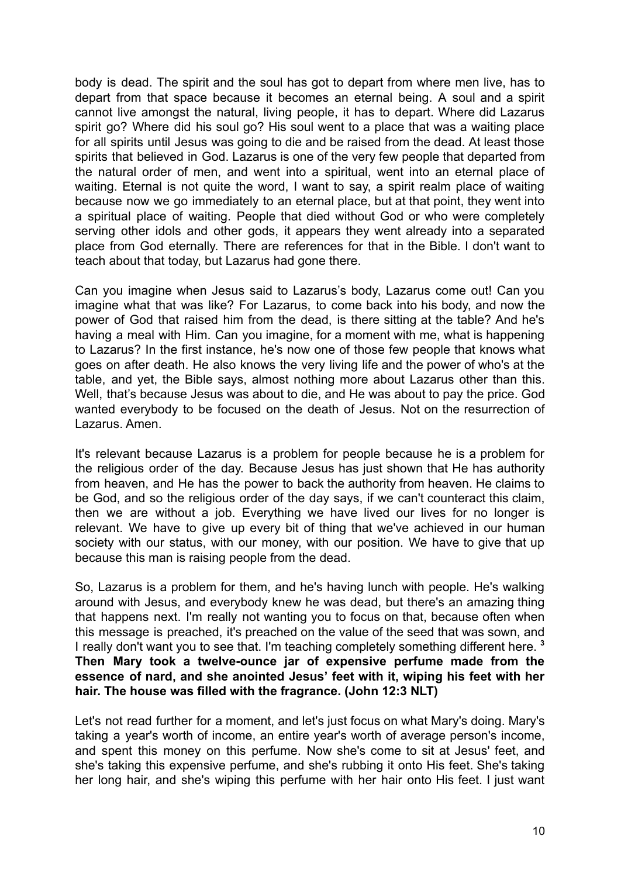body is dead. The spirit and the soul has got to depart from where men live, has to depart from that space because it becomes an eternal being. A soul and a spirit cannot live amongst the natural, living people, it has to depart. Where did Lazarus spirit go? Where did his soul go? His soul went to a place that was a waiting place for all spirits until Jesus was going to die and be raised from the dead. At least those spirits that believed in God. Lazarus is one of the very few people that departed from the natural order of men, and went into a spiritual, went into an eternal place of waiting. Eternal is not quite the word, I want to say, a spirit realm place of waiting because now we go immediately to an eternal place, but at that point, they went into a spiritual place of waiting. People that died without God or who were completely serving other idols and other gods, it appears they went already into a separated place from God eternally. There are references for that in the Bible. I don't want to teach about that today, but Lazarus had gone there.

Can you imagine when Jesus said to Lazarus's body, Lazarus come out! Can you imagine what that was like? For Lazarus, to come back into his body, and now the power of God that raised him from the dead, is there sitting at the table? And he's having a meal with Him. Can you imagine, for a moment with me, what is happening to Lazarus? In the first instance, he's now one of those few people that knows what goes on after death. He also knows the very living life and the power of who's at the table, and yet, the Bible says, almost nothing more about Lazarus other than this. Well, that's because Jesus was about to die, and He was about to pay the price. God wanted everybody to be focused on the death of Jesus. Not on the resurrection of Lazarus. Amen.

It's relevant because Lazarus is a problem for people because he is a problem for the religious order of the day. Because Jesus has just shown that He has authority from heaven, and He has the power to back the authority from heaven. He claims to be God, and so the religious order of the day says, if we can't counteract this claim, then we are without a job. Everything we have lived our lives for no longer is relevant. We have to give up every bit of thing that we've achieved in our human society with our status, with our money, with our position. We have to give that up because this man is raising people from the dead.

So, Lazarus is a problem for them, and he's having lunch with people. He's walking around with Jesus, and everybody knew he was dead, but there's an amazing thing that happens next. I'm really not wanting you to focus on that, because often when this message is preached, it's preached on the value of the seed that was sown, and I really don't want you to see that. I'm teaching completely something different here. **<sup>3</sup> Then Mary took a twelve-ounce jar of expensive perfume made from the essence of nard, and she anointed Jesus' feet with it, wiping his feet with her hair. The house was filled with the fragrance. (John 12:3 NLT)**

Let's not read further for a moment, and let's just focus on what Mary's doing. Mary's taking a year's worth of income, an entire year's worth of average person's income, and spent this money on this perfume. Now she's come to sit at Jesus' feet, and she's taking this expensive perfume, and she's rubbing it onto His feet. She's taking her long hair, and she's wiping this perfume with her hair onto His feet. I just want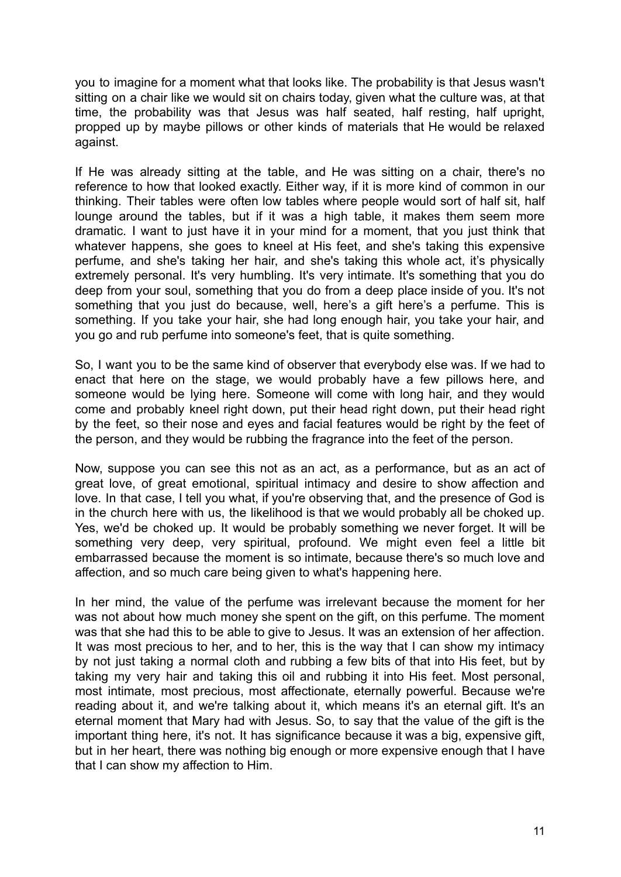you to imagine for a moment what that looks like. The probability is that Jesus wasn't sitting on a chair like we would sit on chairs today, given what the culture was, at that time, the probability was that Jesus was half seated, half resting, half upright, propped up by maybe pillows or other kinds of materials that He would be relaxed against.

If He was already sitting at the table, and He was sitting on a chair, there's no reference to how that looked exactly. Either way, if it is more kind of common in our thinking. Their tables were often low tables where people would sort of half sit, half lounge around the tables, but if it was a high table, it makes them seem more dramatic. I want to just have it in your mind for a moment, that you just think that whatever happens, she goes to kneel at His feet, and she's taking this expensive perfume, and she's taking her hair, and she's taking this whole act, it's physically extremely personal. It's very humbling. It's very intimate. It's something that you do deep from your soul, something that you do from a deep place inside of you. It's not something that you just do because, well, here's a gift here's a perfume. This is something. If you take your hair, she had long enough hair, you take your hair, and you go and rub perfume into someone's feet, that is quite something.

So, I want you to be the same kind of observer that everybody else was. If we had to enact that here on the stage, we would probably have a few pillows here, and someone would be lying here. Someone will come with long hair, and they would come and probably kneel right down, put their head right down, put their head right by the feet, so their nose and eyes and facial features would be right by the feet of the person, and they would be rubbing the fragrance into the feet of the person.

Now, suppose you can see this not as an act, as a performance, but as an act of great love, of great emotional, spiritual intimacy and desire to show affection and love. In that case, I tell you what, if you're observing that, and the presence of God is in the church here with us, the likelihood is that we would probably all be choked up. Yes, we'd be choked up. It would be probably something we never forget. It will be something very deep, very spiritual, profound. We might even feel a little bit embarrassed because the moment is so intimate, because there's so much love and affection, and so much care being given to what's happening here.

In her mind, the value of the perfume was irrelevant because the moment for her was not about how much money she spent on the gift, on this perfume. The moment was that she had this to be able to give to Jesus. It was an extension of her affection. It was most precious to her, and to her, this is the way that I can show my intimacy by not just taking a normal cloth and rubbing a few bits of that into His feet, but by taking my very hair and taking this oil and rubbing it into His feet. Most personal, most intimate, most precious, most affectionate, eternally powerful. Because we're reading about it, and we're talking about it, which means it's an eternal gift. It's an eternal moment that Mary had with Jesus. So, to say that the value of the gift is the important thing here, it's not. It has significance because it was a big, expensive gift, but in her heart, there was nothing big enough or more expensive enough that I have that I can show my affection to Him.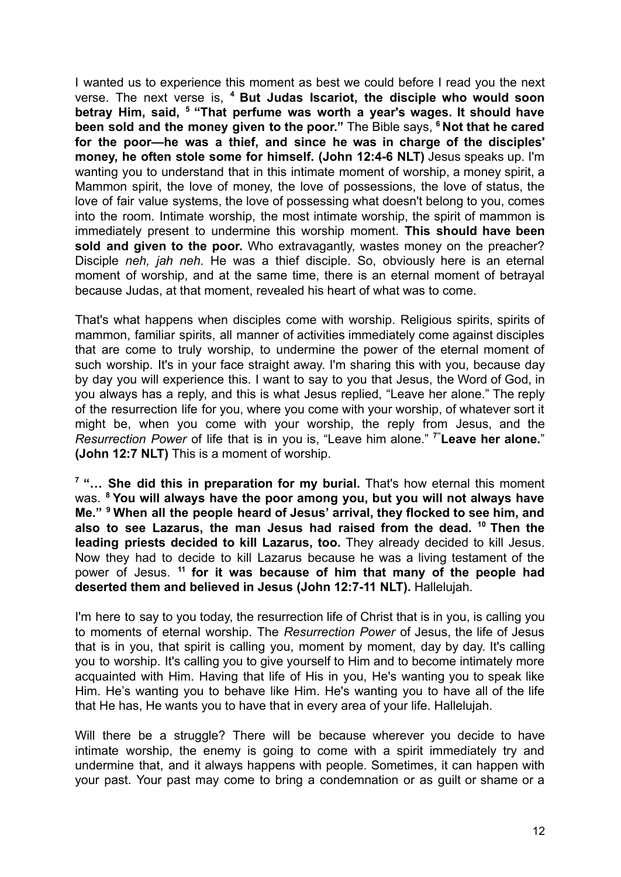I wanted us to experience this moment as best we could before I read you the next verse. The next verse is, **<sup>4</sup> But Judas Iscariot, the disciple who would soon betray Him, said, <sup>5</sup> "That perfume was worth a year's wages. It should have been sold and the money given to the poor."** The Bible says, **<sup>6</sup> Not that he cared for the poor—he was a thief, and since he was in charge of the disciples' money, he often stole some for himself. (John 12:4-6 NLT)** Jesus speaks up. I'm wanting you to understand that in this intimate moment of worship, a money spirit, a Mammon spirit, the love of money, the love of possessions, the love of status, the love of fair value systems, the love of possessing what doesn't belong to you, comes into the room. Intimate worship, the most intimate worship, the spirit of mammon is immediately present to undermine this worship moment. **This should have been sold and given to the poor.** Who extravagantly, wastes money on the preacher? Disciple *neh, jah neh.* He was a thief disciple. So, obviously here is an eternal moment of worship, and at the same time, there is an eternal moment of betrayal because Judas, at that moment, revealed his heart of what was to come.

That's what happens when disciples come with worship. Religious spirits, spirits of mammon, familiar spirits, all manner of activities immediately come against disciples that are come to truly worship, to undermine the power of the eternal moment of such worship. It's in your face straight away. I'm sharing this with you, because day by day you will experience this. I want to say to you that Jesus, the Word of God, in you always has a reply, and this is what Jesus replied, "Leave her alone." The reply of the resurrection life for you, where you come with your worship, of whatever sort it might be, when you come with your worship, the reply from Jesus, and the *Resurrection Power* of life that is in you is, "Leave him alone." **7"Leave her alone.**" **(John 12:7 NLT)** This is a moment of worship.

**<sup>7</sup> "… She did this in preparation for my burial.** That's how eternal this moment was. **<sup>8</sup> You will always have the poor among you, but you will not always have Me." <sup>9</sup> When all the people heard of Jesus' arrival, they flocked to see him, and also to see Lazarus, the man Jesus had raised from the dead. <sup>10</sup> Then the leading priests decided to kill Lazarus, too.** They already decided to kill Jesus. Now they had to decide to kill Lazarus because he was a living testament of the power of Jesus. **<sup>11</sup> for it was because of him that many of the people had deserted them and believed in Jesus (John 12:7-11 NLT).** Hallelujah.

I'm here to say to you today, the resurrection life of Christ that is in you, is calling you to moments of eternal worship. The *Resurrection Power* of Jesus, the life of Jesus that is in you, that spirit is calling you, moment by moment, day by day. It's calling you to worship. It's calling you to give yourself to Him and to become intimately more acquainted with Him. Having that life of His in you, He's wanting you to speak like Him. He's wanting you to behave like Him. He's wanting you to have all of the life that He has, He wants you to have that in every area of your life. Hallelujah.

Will there be a struggle? There will be because wherever you decide to have intimate worship, the enemy is going to come with a spirit immediately try and undermine that, and it always happens with people. Sometimes, it can happen with your past. Your past may come to bring a condemnation or as guilt or shame or a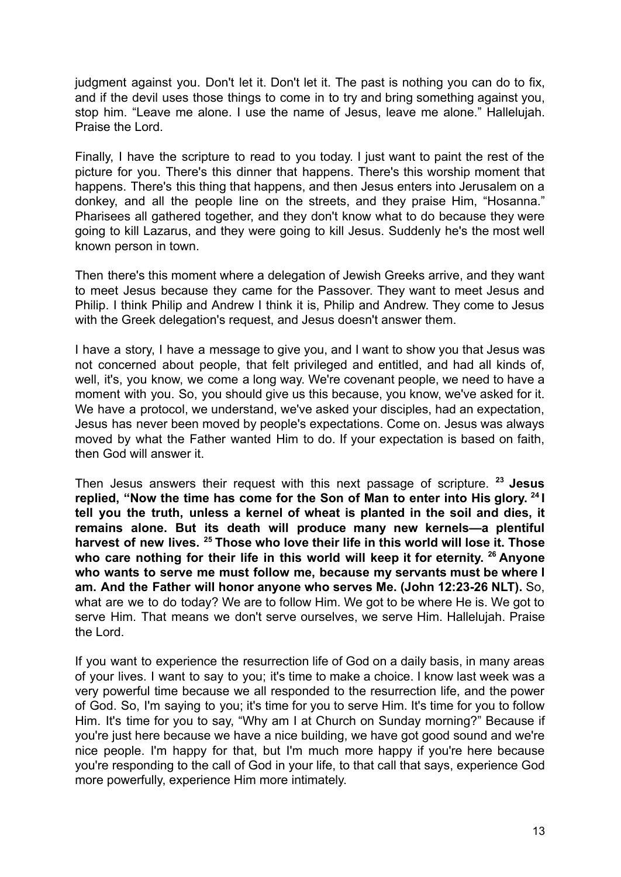judgment against you. Don't let it. Don't let it. The past is nothing you can do to fix, and if the devil uses those things to come in to try and bring something against you, stop him. "Leave me alone. I use the name of Jesus, leave me alone." Hallelujah. Praise the Lord.

Finally, I have the scripture to read to you today. I just want to paint the rest of the picture for you. There's this dinner that happens. There's this worship moment that happens. There's this thing that happens, and then Jesus enters into Jerusalem on a donkey, and all the people line on the streets, and they praise Him, "Hosanna." Pharisees all gathered together, and they don't know what to do because they were going to kill Lazarus, and they were going to kill Jesus. Suddenly he's the most well known person in town.

Then there's this moment where a delegation of Jewish Greeks arrive, and they want to meet Jesus because they came for the Passover. They want to meet Jesus and Philip. I think Philip and Andrew I think it is, Philip and Andrew. They come to Jesus with the Greek delegation's request, and Jesus doesn't answer them.

I have a story, I have a message to give you, and I want to show you that Jesus was not concerned about people, that felt privileged and entitled, and had all kinds of, well, it's, you know, we come a long way. We're covenant people, we need to have a moment with you. So, you should give us this because, you know, we've asked for it. We have a protocol, we understand, we've asked your disciples, had an expectation, Jesus has never been moved by people's expectations. Come on. Jesus was always moved by what the Father wanted Him to do. If your expectation is based on faith, then God will answer it.

Then Jesus answers their request with this next passage of scripture. **<sup>23</sup> Jesus replied, "Now the time has come for the Son of Man to enter into His glory. 24 I tell you the truth, unless a kernel of wheat is planted in the soil and dies, it remains alone. But its death will produce many new kernels—a plentiful harvest of new lives. <sup>25</sup> Those who love their life in this world will lose it. Those who care nothing for their life in this world will keep it for eternity. <sup>26</sup> Anyone who wants to serve me must follow me, because my servants must be where I am. And the Father will honor anyone who serves Me. (John 12:23-26 NLT).** So, what are we to do today? We are to follow Him. We got to be where He is. We got to serve Him. That means we don't serve ourselves, we serve Him. Hallelujah. Praise the Lord.

If you want to experience the resurrection life of God on a daily basis, in many areas of your lives. I want to say to you; it's time to make a choice. I know last week was a very powerful time because we all responded to the resurrection life, and the power of God. So, I'm saying to you; it's time for you to serve Him. It's time for you to follow Him. It's time for you to say, "Why am I at Church on Sunday morning?" Because if you're just here because we have a nice building, we have got good sound and we're nice people. I'm happy for that, but I'm much more happy if you're here because you're responding to the call of God in your life, to that call that says, experience God more powerfully, experience Him more intimately.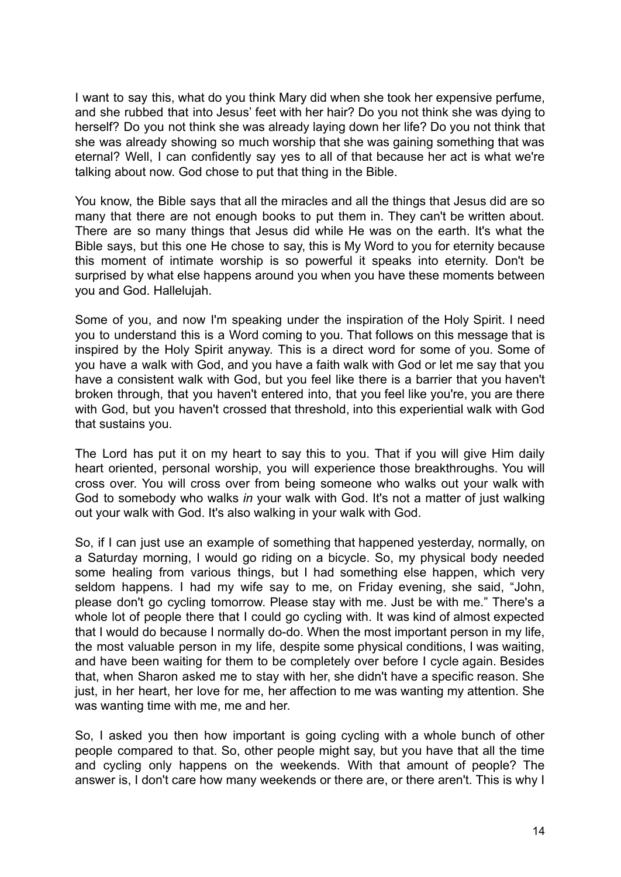I want to say this, what do you think Mary did when she took her expensive perfume, and she rubbed that into Jesus' feet with her hair? Do you not think she was dying to herself? Do you not think she was already laying down her life? Do you not think that she was already showing so much worship that she was gaining something that was eternal? Well, I can confidently say yes to all of that because her act is what we're talking about now. God chose to put that thing in the Bible.

You know, the Bible says that all the miracles and all the things that Jesus did are so many that there are not enough books to put them in. They can't be written about. There are so many things that Jesus did while He was on the earth. It's what the Bible says, but this one He chose to say, this is My Word to you for eternity because this moment of intimate worship is so powerful it speaks into eternity. Don't be surprised by what else happens around you when you have these moments between you and God. Hallelujah.

Some of you, and now I'm speaking under the inspiration of the Holy Spirit. I need you to understand this is a Word coming to you. That follows on this message that is inspired by the Holy Spirit anyway. This is a direct word for some of you. Some of you have a walk with God, and you have a faith walk with God or let me say that you have a consistent walk with God, but you feel like there is a barrier that you haven't broken through, that you haven't entered into, that you feel like you're, you are there with God, but you haven't crossed that threshold, into this experiential walk with God that sustains you.

The Lord has put it on my heart to say this to you. That if you will give Him daily heart oriented, personal worship, you will experience those breakthroughs. You will cross over. You will cross over from being someone who walks out your walk with God to somebody who walks *in* your walk with God. It's not a matter of just walking out your walk with God. It's also walking in your walk with God.

So, if I can just use an example of something that happened yesterday, normally, on a Saturday morning, I would go riding on a bicycle. So, my physical body needed some healing from various things, but I had something else happen, which very seldom happens. I had my wife say to me, on Friday evening, she said, "John, please don't go cycling tomorrow. Please stay with me. Just be with me." There's a whole lot of people there that I could go cycling with. It was kind of almost expected that I would do because I normally do-do. When the most important person in my life, the most valuable person in my life, despite some physical conditions, I was waiting, and have been waiting for them to be completely over before I cycle again. Besides that, when Sharon asked me to stay with her, she didn't have a specific reason. She just, in her heart, her love for me, her affection to me was wanting my attention. She was wanting time with me, me and her.

So, I asked you then how important is going cycling with a whole bunch of other people compared to that. So, other people might say, but you have that all the time and cycling only happens on the weekends. With that amount of people? The answer is, I don't care how many weekends or there are, or there aren't. This is why I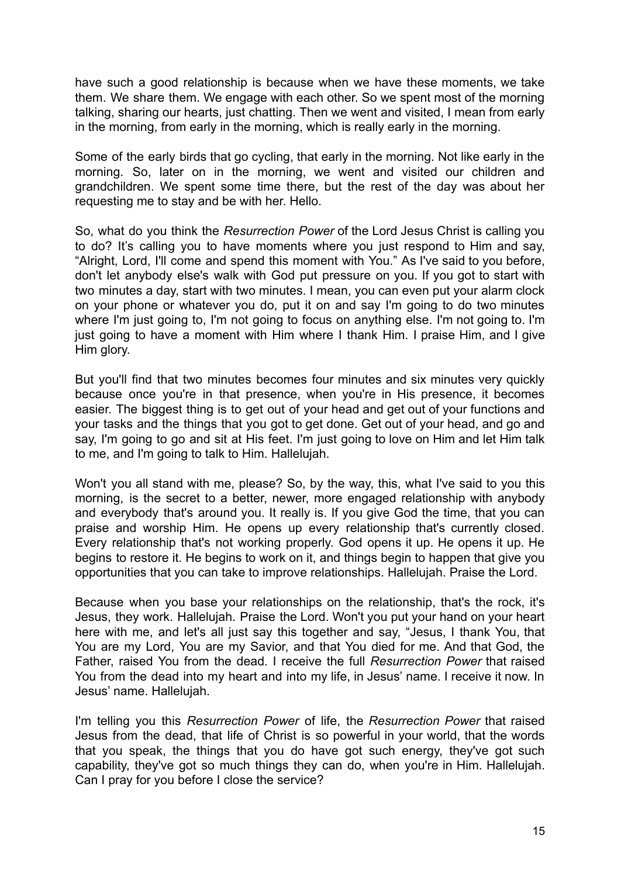have such a good relationship is because when we have these moments, we take them. We share them. We engage with each other. So we spent most of the morning talking, sharing our hearts, just chatting. Then we went and visited. I mean from early in the morning, from early in the morning, which is really early in the morning.

Some of the early birds that go cycling, that early in the morning. Not like early in the morning. So, later on in the morning, we went and visited our children and grandchildren. We spent some time there, but the rest of the day was about her requesting me to stay and be with her. Hello.

So, what do you think the *Resurrection Power* of the Lord Jesus Christ is calling you to do? It's calling you to have moments where you just respond to Him and say, "Alright, Lord, I'll come and spend this moment with You." As I've said to you before, don't let anybody else's walk with God put pressure on you. If you got to start with two minutes a day, start with two minutes. I mean, you can even put your alarm clock on your phone or whatever you do, put it on and say I'm going to do two minutes where I'm just going to. I'm not going to focus on anything else. I'm not going to. I'm just going to have a moment with Him where I thank Him. I praise Him, and I give Him glory.

But you'll find that two minutes becomes four minutes and six minutes very quickly because once you're in that presence, when you're in His presence, it becomes easier. The biggest thing is to get out of your head and get out of your functions and your tasks and the things that you got to get done. Get out of your head, and go and say, I'm going to go and sit at His feet. I'm just going to love on Him and let Him talk to me, and I'm going to talk to Him. Hallelujah.

Won't you all stand with me, please? So, by the way, this, what I've said to you this morning, is the secret to a better, newer, more engaged relationship with anybody and everybody that's around you. It really is. If you give God the time, that you can praise and worship Him. He opens up every relationship that's currently closed. Every relationship that's not working properly. God opens it up. He opens it up. He begins to restore it. He begins to work on it, and things begin to happen that give you opportunities that you can take to improve relationships. Hallelujah. Praise the Lord.

Because when you base your relationships on the relationship, that's the rock, it's Jesus, they work. Hallelujah. Praise the Lord. Won't you put your hand on your heart here with me, and let's all just say this together and say, "Jesus, I thank You, that You are my Lord, You are my Savior, and that You died for me. And that God, the Father, raised You from the dead. I receive the full *Resurrection Power* that raised You from the dead into my heart and into my life, in Jesus' name. I receive it now. In Jesus' name. Hallelujah.

I'm telling you this *Resurrection Power* of life, the *Resurrection Power* that raised Jesus from the dead, that life of Christ is so powerful in your world, that the words that you speak, the things that you do have got such energy, they've got such capability, they've got so much things they can do, when you're in Him. Hallelujah. Can I pray for you before I close the service?